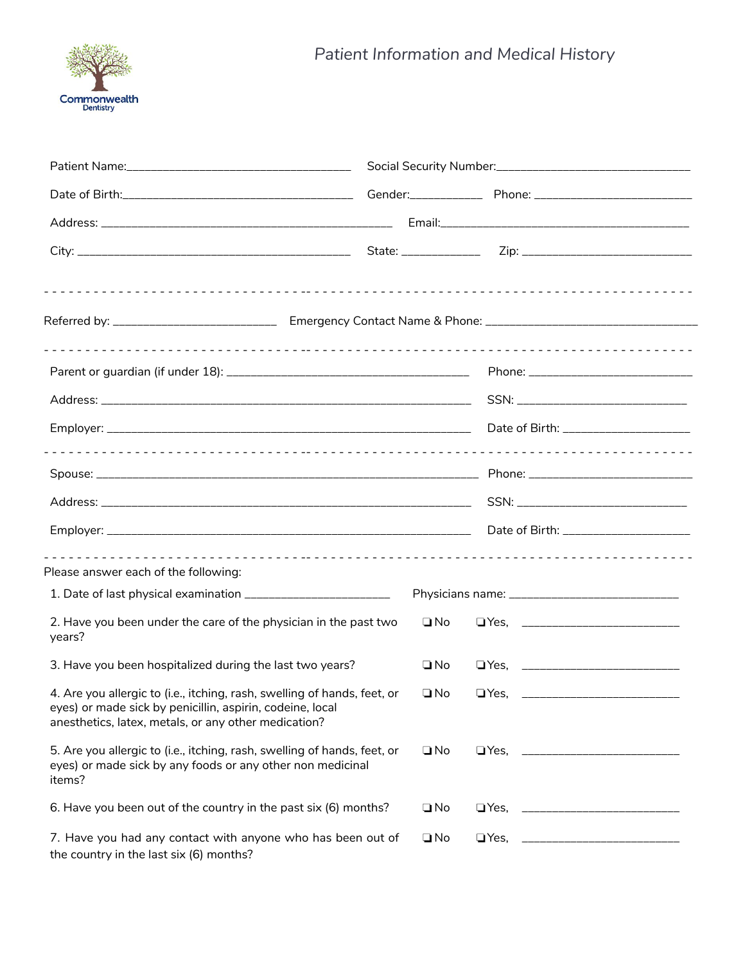

| Please answer each of the following:                                                                                                                                                          |              |             |  |
|-----------------------------------------------------------------------------------------------------------------------------------------------------------------------------------------------|--------------|-------------|--|
| 1. Date of last physical examination ______________________________                                                                                                                           |              |             |  |
| 2. Have you been under the care of the physician in the past two<br>years?                                                                                                                    | $\square$ No |             |  |
| 3. Have you been hospitalized during the last two years?                                                                                                                                      | $\Box$ No    |             |  |
| 4. Are you allergic to (i.e., itching, rash, swelling of hands, feet, or<br>eyes) or made sick by penicillin, aspirin, codeine, local<br>anesthetics, latex, metals, or any other medication? | $\Box$ No    |             |  |
| 5. Are you allergic to (i.e., itching, rash, swelling of hands, feet, or<br>eyes) or made sick by any foods or any other non medicinal<br>items?                                              | $\Box$ No    |             |  |
| 6. Have you been out of the country in the past six (6) months?                                                                                                                               | $\square$ No |             |  |
| 7. Have you had any contact with anyone who has been out of<br>the country in the last six (6) months?                                                                                        | $\square$ No | $\Box$ Yes, |  |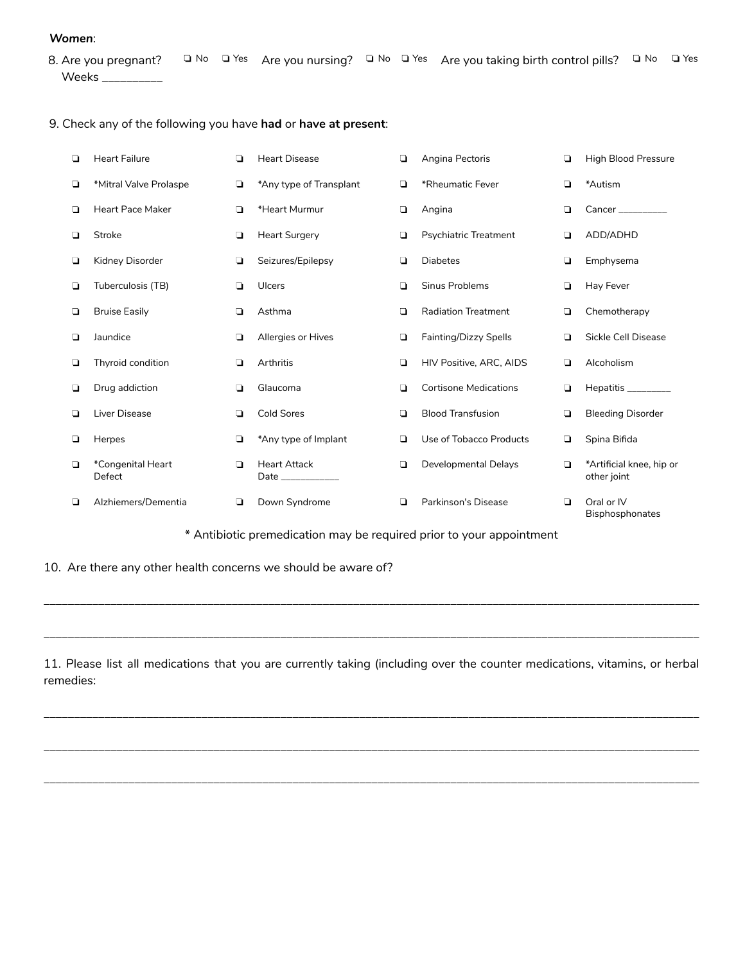## *Women* :

8. Are you pregnant? Weeks \_\_\_\_\_\_\_\_\_\_ □ No □ Yes Are you nursing? □ No □ Yes Are you taking birth control pills? □ No □ Yes

9. Check any of the following you have **had** or **have at present**:

| ❏      | <b>Heart Failure</b>        | ◘      | <b>Heart Disease</b>                     | $\Box$ | Angina Pectoris              | ◘      | <b>High Blood Pressure</b>              |
|--------|-----------------------------|--------|------------------------------------------|--------|------------------------------|--------|-----------------------------------------|
| ❏      | *Mitral Valve Prolaspe      | $\Box$ | *Any type of Transplant                  | ◘      | *Rheumatic Fever             | ◘      | *Autism                                 |
| $\Box$ | <b>Heart Pace Maker</b>     | ▫      | *Heart Murmur                            | $\Box$ | Angina                       | ❏      | Cancer                                  |
| $\Box$ | <b>Stroke</b>               | $\Box$ | <b>Heart Surgery</b>                     | $\Box$ | <b>Psychiatric Treatment</b> | $\Box$ | ADD/ADHD                                |
| ❏      | Kidney Disorder             | ▫      | Seizures/Epilepsy                        | ❏      | <b>Diabetes</b>              | ❏      | Emphysema                               |
| О      | Tuberculosis (TB)           | ▫      | <b>Ulcers</b>                            | $\Box$ | <b>Sinus Problems</b>        | ❏      | Hay Fever                               |
| О      | <b>Bruise Easily</b>        | $\Box$ | Asthma                                   | $\Box$ | <b>Radiation Treatment</b>   | $\Box$ | Chemotherapy                            |
| $\Box$ | Jaundice                    | $\Box$ | <b>Allergies or Hives</b>                | $\Box$ | Fainting/Dizzy Spells        | ◘      | Sickle Cell Disease                     |
| ❏      | Thyroid condition           | $\Box$ | Arthritis                                | $\Box$ | HIV Positive, ARC, AIDS      | ❏      | Alcoholism                              |
| $\Box$ | Drug addiction              | □      | Glaucoma                                 | $\Box$ | <b>Cortisone Medications</b> | ❏      | Hepatitis ________                      |
| ❏      | Liver Disease               | ▫      | <b>Cold Sores</b>                        | ◘      | <b>Blood Transfusion</b>     | ❏      | <b>Bleeding Disorder</b>                |
| $\Box$ | Herpes                      | ▫      | *Any type of Implant                     | ◘      | Use of Tobacco Products      | ▫      | Spina Bifida                            |
| Q      | *Congenital Heart<br>Defect | $\Box$ | <b>Heart Attack</b><br>Date ____________ | $\Box$ | Developmental Delays         | $\Box$ | *Artificial knee, hip or<br>other joint |
| $\Box$ | Alzhiemers/Dementia         | ◘      | Down Syndrome                            | ◘      | Parkinson's Disease          | ◘      | Oral or IV<br><b>Bisphosphonates</b>    |

\* Antibiotic premedication may be required prior to your appointment

\_\_\_\_\_\_\_\_\_\_\_\_\_\_\_\_\_\_\_\_\_\_\_\_\_\_\_\_\_\_\_\_\_\_\_\_\_\_\_\_\_\_\_\_\_\_\_\_\_\_\_\_\_\_\_\_\_\_\_\_\_\_\_\_\_\_\_\_\_\_\_\_\_\_\_\_\_\_\_\_\_\_\_\_\_\_\_\_\_\_\_\_\_\_\_\_\_\_\_\_\_\_\_\_\_\_\_\_

\_\_\_\_\_\_\_\_\_\_\_\_\_\_\_\_\_\_\_\_\_\_\_\_\_\_\_\_\_\_\_\_\_\_\_\_\_\_\_\_\_\_\_\_\_\_\_\_\_\_\_\_\_\_\_\_\_\_\_\_\_\_\_\_\_\_\_\_\_\_\_\_\_\_\_\_\_\_\_\_\_\_\_\_\_\_\_\_\_\_\_\_\_\_\_\_\_\_\_\_\_\_\_\_\_\_\_\_

10. Are there any other health concerns we should be aware of?

11. Please list all medications that you are currently taking (including over the counter medications, vitamins, or herbal remedies:

\_\_\_\_\_\_\_\_\_\_\_\_\_\_\_\_\_\_\_\_\_\_\_\_\_\_\_\_\_\_\_\_\_\_\_\_\_\_\_\_\_\_\_\_\_\_\_\_\_\_\_\_\_\_\_\_\_\_\_\_\_\_\_\_\_\_\_\_\_\_\_\_\_\_\_\_\_\_\_\_\_\_\_\_\_\_\_\_\_\_\_\_\_\_\_\_\_\_\_\_\_\_\_\_\_\_\_\_

\_\_\_\_\_\_\_\_\_\_\_\_\_\_\_\_\_\_\_\_\_\_\_\_\_\_\_\_\_\_\_\_\_\_\_\_\_\_\_\_\_\_\_\_\_\_\_\_\_\_\_\_\_\_\_\_\_\_\_\_\_\_\_\_\_\_\_\_\_\_\_\_\_\_\_\_\_\_\_\_\_\_\_\_\_\_\_\_\_\_\_\_\_\_\_\_\_\_\_\_\_\_\_\_\_\_\_\_

\_\_\_\_\_\_\_\_\_\_\_\_\_\_\_\_\_\_\_\_\_\_\_\_\_\_\_\_\_\_\_\_\_\_\_\_\_\_\_\_\_\_\_\_\_\_\_\_\_\_\_\_\_\_\_\_\_\_\_\_\_\_\_\_\_\_\_\_\_\_\_\_\_\_\_\_\_\_\_\_\_\_\_\_\_\_\_\_\_\_\_\_\_\_\_\_\_\_\_\_\_\_\_\_\_\_\_\_